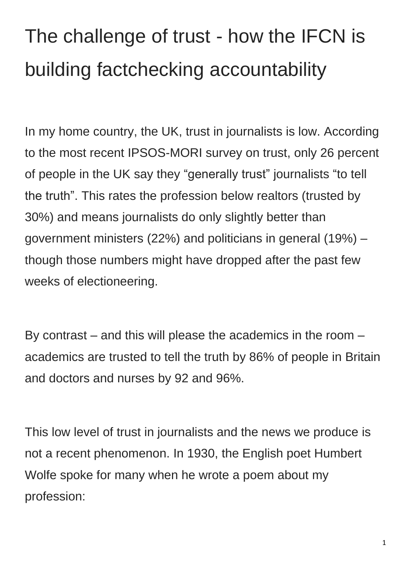## The challenge of trust - how the IFCN is building factchecking accountability

In my home country, the UK, trust in journalists is low. According to the most recent IPSOS-MORI survey on trust, only 26 percent of people in the UK say they "generally trust" journalists "to tell the truth". This rates the profession below realtors (trusted by 30%) and means journalists do only slightly better than government ministers (22%) and politicians in general (19%) – though those numbers might have dropped after the past few weeks of electioneering.

By contrast – and this will please the academics in the room – academics are trusted to tell the truth by 86% of people in Britain and doctors and nurses by 92 and 96%.

This low level of trust in journalists and the news we produce is not a recent phenomenon. In 1930, the English poet Humbert Wolfe spoke for many when he wrote a poem about my profession: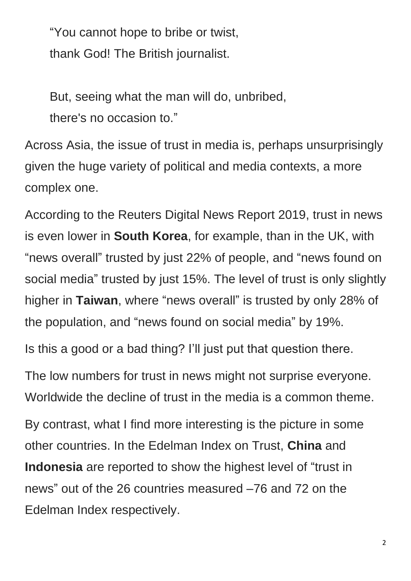"You cannot hope to bribe or twist, thank God! The British journalist.

But, seeing what the man will do, unbribed, there's no occasion to."

Across Asia, the issue of trust in media is, perhaps unsurprisingly given the huge variety of political and media contexts, a more complex one.

According to the Reuters Digital News Report 2019, trust in news is even lower in **South Korea**, for example, than in the UK, with "news overall" trusted by just 22% of people, and "news found on social media" trusted by just 15%. The level of trust is only slightly higher in **Taiwan**, where "news overall" is trusted by only 28% of the population, and "news found on social media" by 19%.

Is this a good or a bad thing? I'll just put that question there.

The low numbers for trust in news might not surprise everyone. Worldwide the decline of trust in the media is a common theme.

By contrast, what I find more interesting is the picture in some other countries. In the Edelman Index on Trust, **China** and **Indonesia** are reported to show the highest level of "trust in news" out of the 26 countries measured –76 and 72 on the Edelman Index respectively.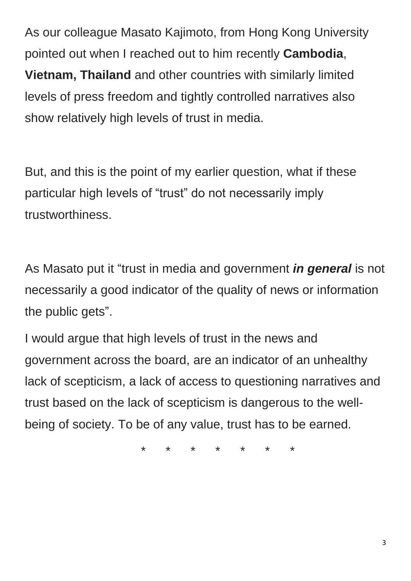As our colleague Masato Kajimoto, from Hong Kong University pointed out when I reached out to him recently **Cambodia**, **Vietnam, Thailand** and other countries with similarly limited levels of press freedom and tightly controlled narratives also show relatively high levels of trust in media.

But, and this is the point of my earlier question, what if these particular high levels of "trust" do not necessarily imply trustworthiness.

As Masato put it "trust in media and government *in general* is not necessarily a good indicator of the quality of news or information the public gets".

I would argue that high levels of trust in the news and government across the board, are an indicator of an unhealthy lack of scepticism, a lack of access to questioning narratives and trust based on the lack of scepticism is dangerous to the wellbeing of society. To be of any value, trust has to be earned.

\* \* \* \* \* \* \*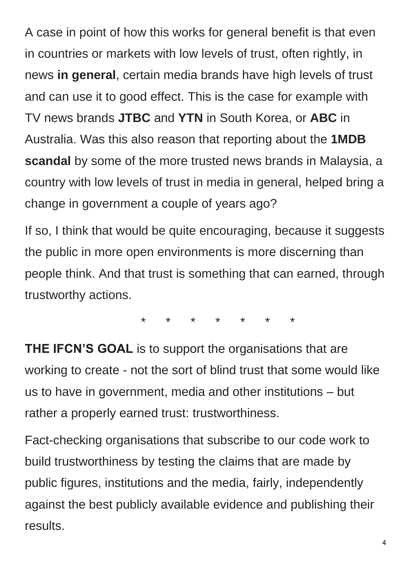A case in point of how this works for general benefit is that even in countries or markets with low levels of trust, often rightly, in news **in general**, certain media brands have high levels of trust and can use it to good effect. This is the case for example with TV news brands **JTBC** and **YTN** in South Korea, or **ABC** in Australia. Was this also reason that reporting about the **1MDB scandal** by some of the more trusted news brands in Malaysia, a country with low levels of trust in media in general, helped bring a change in government a couple of years ago?

If so, I think that would be quite encouraging, because it suggests the public in more open environments is more discerning than people think. And that trust is something that can earned, through trustworthy actions.

\* \* \* \* \* \* \*

**THE IFCN'S GOAL** is to support the organisations that are working to create - not the sort of blind trust that some would like us to have in government, media and other institutions – but rather a properly earned trust: trustworthiness.

Fact-checking organisations that subscribe to our code work to build trustworthiness by testing the claims that are made by public figures, institutions and the media, fairly, independently against the best publicly available evidence and publishing their results.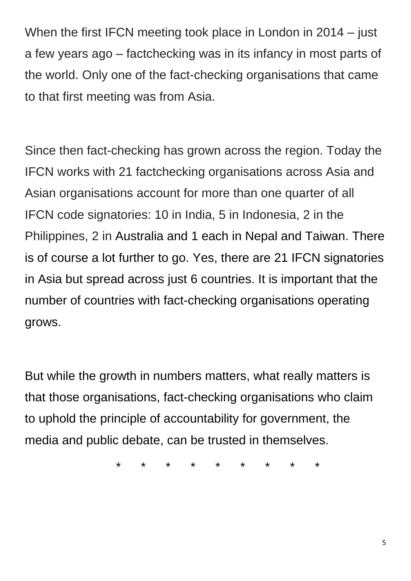When the first IFCN meeting took place in London in 2014 – just a few years ago – factchecking was in its infancy in most parts of the world. Only one of the fact-checking organisations that came to that first meeting was from Asia.

Since then fact-checking has grown across the region. Today the IFCN works with 21 factchecking organisations across Asia and Asian organisations account for more than one quarter of all IFCN code signatories: 10 in India, 5 in Indonesia, 2 in the Philippines, 2 in Australia and 1 each in Nepal and Taiwan. There is of course a lot further to go. Yes, there are 21 IFCN signatories in Asia but spread across just 6 countries. It is important that the number of countries with fact-checking organisations operating grows.

But while the growth in numbers matters, what really matters is that those organisations, fact-checking organisations who claim to uphold the principle of accountability for government, the media and public debate, can be trusted in themselves.

\* \* \* \* \* \* \* \* \*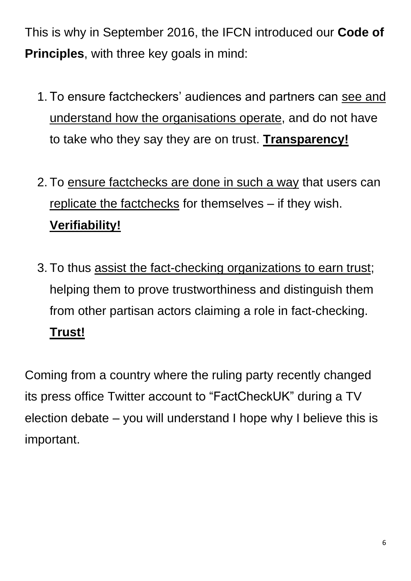This is why in September 2016, the IFCN introduced our **Code of Principles**, with three key goals in mind:

- 1. To ensure factcheckers' audiences and partners can see and understand how the organisations operate, and do not have to take who they say they are on trust. **Transparency!**
- 2. To ensure factchecks are done in such a way that users can replicate the factchecks for themselves – if they wish. **Verifiability!**
- 3. To thus assist the fact-checking organizations to earn trust; helping them to prove trustworthiness and distinguish them from other partisan actors claiming a role in fact-checking. **Trust!**

Coming from a country where the ruling party recently changed its press office Twitter account to "FactCheckUK" during a TV election debate – you will understand I hope why I believe this is important.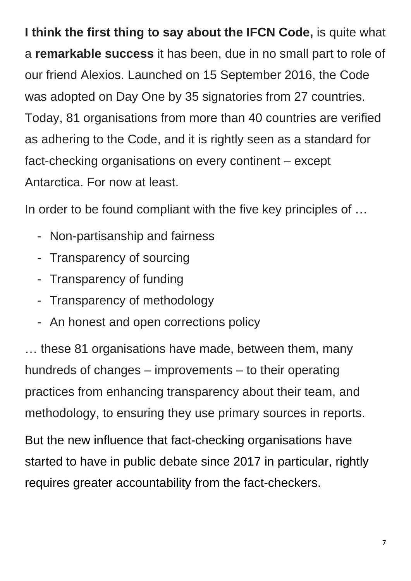**I think the first thing to say about the IFCN Code,** is quite what a **remarkable success** it has been, due in no small part to role of our friend Alexios. Launched on 15 September 2016, the Code was adopted on Day One by 35 signatories from 27 countries. Today, 81 organisations from more than 40 countries are verified as adhering to the Code, and it is rightly seen as a standard for fact-checking organisations on every continent – except Antarctica. For now at least.

In order to be found compliant with the five key principles of …

- Non-partisanship and fairness
- Transparency of sourcing
- Transparency of funding
- Transparency of methodology
- An honest and open corrections policy

… these 81 organisations have made, between them, many hundreds of changes – improvements – to their operating practices from enhancing transparency about their team, and methodology, to ensuring they use primary sources in reports.

But the new influence that fact-checking organisations have started to have in public debate since 2017 in particular, rightly requires greater accountability from the fact-checkers.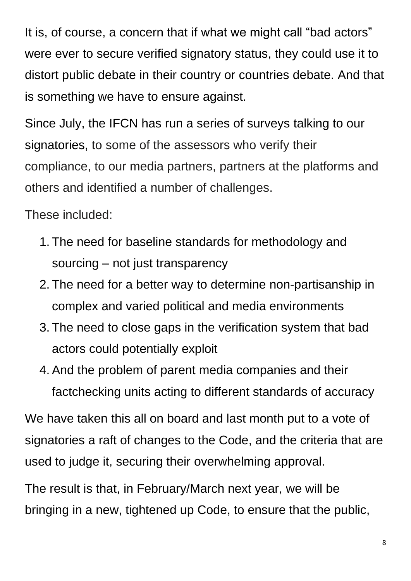It is, of course, a concern that if what we might call "bad actors" were ever to secure verified signatory status, they could use it to distort public debate in their country or countries debate. And that is something we have to ensure against.

Since July, the IFCN has run a series of surveys talking to our signatories, to some of the assessors who verify their compliance, to our media partners, partners at the platforms and others and identified a number of challenges.

These included:

- 1. The need for baseline standards for methodology and sourcing – not just transparency
- 2. The need for a better way to determine non-partisanship in complex and varied political and media environments
- 3. The need to close gaps in the verification system that bad actors could potentially exploit
- 4. And the problem of parent media companies and their factchecking units acting to different standards of accuracy

We have taken this all on board and last month put to a vote of signatories a raft of changes to the Code, and the criteria that are used to judge it, securing their overwhelming approval.

The result is that, in February/March next year, we will be bringing in a new, tightened up Code, to ensure that the public,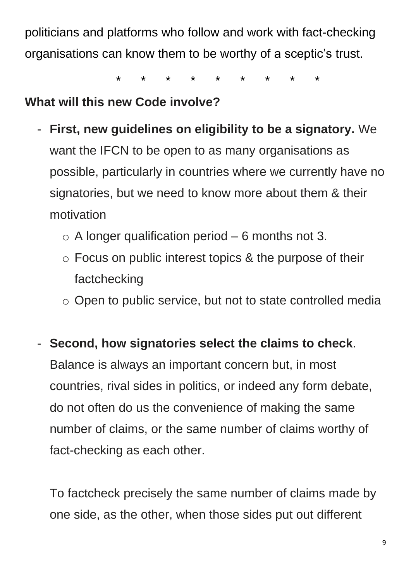politicians and platforms who follow and work with fact-checking organisations can know them to be worthy of a sceptic's trust.

\* \* \* \* \* \* \* \* \*

## **What will this new Code involve?**

- **First, new guidelines on eligibility to be a signatory.** We want the IFCN to be open to as many organisations as possible, particularly in countries where we currently have no signatories, but we need to know more about them & their motivation
	- $\circ$  A longer qualification period 6 months not 3.
	- o Focus on public interest topics & the purpose of their factchecking
	- o Open to public service, but not to state controlled media

- **Second, how signatories select the claims to check**. Balance is always an important concern but, in most countries, rival sides in politics, or indeed any form debate, do not often do us the convenience of making the same number of claims, or the same number of claims worthy of fact-checking as each other.

To factcheck precisely the same number of claims made by one side, as the other, when those sides put out different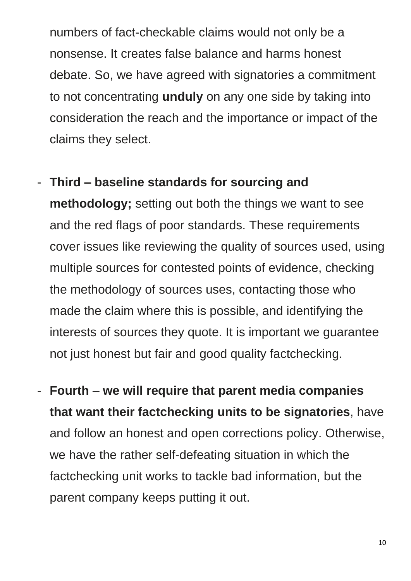numbers of fact-checkable claims would not only be a nonsense. It creates false balance and harms honest debate. So, we have agreed with signatories a commitment to not concentrating **unduly** on any one side by taking into consideration the reach and the importance or impact of the claims they select.

- **Third – baseline standards for sourcing and methodology;** setting out both the things we want to see and the red flags of poor standards. These requirements cover issues like reviewing the quality of sources used, using multiple sources for contested points of evidence, checking the methodology of sources uses, contacting those who made the claim where this is possible, and identifying the interests of sources they quote. It is important we guarantee not just honest but fair and good quality factchecking.
- **Fourth we will require that parent media companies that want their factchecking units to be signatories**, have and follow an honest and open corrections policy. Otherwise, we have the rather self-defeating situation in which the factchecking unit works to tackle bad information, but the parent company keeps putting it out.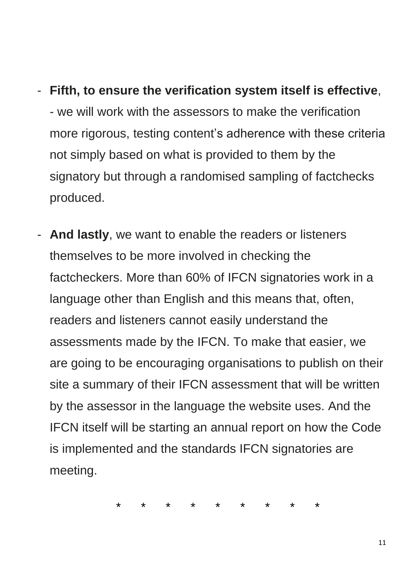## - **Fifth, to ensure the verification system itself is effective**,

- we will work with the assessors to make the verification more rigorous, testing content's adherence with these criteria not simply based on what is provided to them by the signatory but through a randomised sampling of factchecks produced.

And lastly, we want to enable the readers or listeners themselves to be more involved in checking the factcheckers. More than 60% of IFCN signatories work in a language other than English and this means that, often, readers and listeners cannot easily understand the assessments made by the IFCN. To make that easier, we are going to be encouraging organisations to publish on their site a summary of their IFCN assessment that will be written by the assessor in the language the website uses. And the IFCN itself will be starting an annual report on how the Code is implemented and the standards IFCN signatories are meeting.

\* \* \* \* \* \* \* \* \*